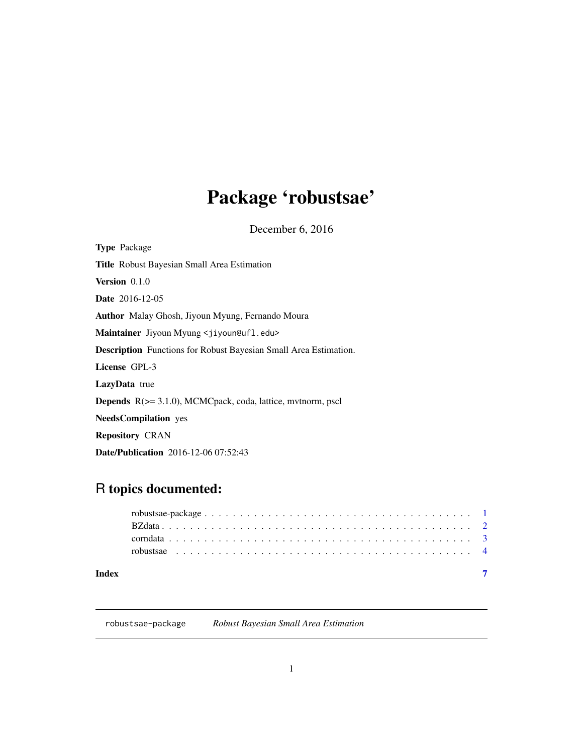# <span id="page-0-0"></span>Package 'robustsae'

December 6, 2016

| <b>Type</b> Package                                                        |
|----------------------------------------------------------------------------|
| <b>Title</b> Robust Bayesian Small Area Estimation                         |
| Version 0.1.0                                                              |
| <b>Date</b> 2016-12-05                                                     |
| <b>Author</b> Malay Ghosh, Jiyoun Myung, Fernando Moura                    |
| Maintainer Jiyoun Myung <jiyoun@ufl.edu></jiyoun@ufl.edu>                  |
| <b>Description</b> Functions for Robust Bayesian Small Area Estimation.    |
| License GPL-3                                                              |
| <b>LazyData</b> true                                                       |
| <b>Depends</b> $R$ ( $> = 3.1.0$ ), MCMCpack, coda, lattice, mythorm, pscl |
| <b>NeedsCompilation</b> yes                                                |
| <b>Repository CRAN</b>                                                     |
| <b>Date/Publication</b> 2016-12-06 07:52:43                                |

## R topics documented:

| Index |  |
|-------|--|

## robustsae-package *Robust Bayesian Small Area Estimation*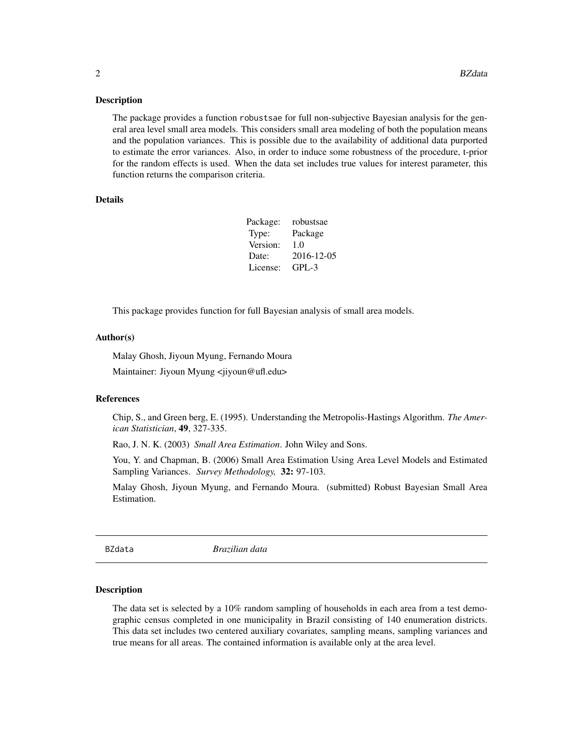#### <span id="page-1-0"></span>Description

The package provides a function robustsae for full non-subjective Bayesian analysis for the general area level small area models. This considers small area modeling of both the population means and the population variances. This is possible due to the availability of additional data purported to estimate the error variances. Also, in order to induce some robustness of the procedure, t-prior for the random effects is used. When the data set includes true values for interest parameter, this function returns the comparison criteria.

#### Details

| Package: | robustsae  |
|----------|------------|
| Type:    | Package    |
| Version: | 1.0        |
| Date:    | 2016-12-05 |
| License: | $GPI - 3$  |

This package provides function for full Bayesian analysis of small area models.

#### Author(s)

Malay Ghosh, Jiyoun Myung, Fernando Moura Maintainer: Jiyoun Myung <jiyoun@ufl.edu>

#### References

Chip, S., and Green berg, E. (1995). Understanding the Metropolis-Hastings Algorithm. *The American Statistician*, 49, 327-335.

Rao, J. N. K. (2003) *Small Area Estimation*. John Wiley and Sons.

You, Y. and Chapman, B. (2006) Small Area Estimation Using Area Level Models and Estimated Sampling Variances. *Survey Methodology,* 32: 97-103.

Malay Ghosh, Jiyoun Myung, and Fernando Moura. (submitted) Robust Bayesian Small Area Estimation.

BZdata *Brazilian data*

#### Description

The data set is selected by a 10% random sampling of households in each area from a test demographic census completed in one municipality in Brazil consisting of 140 enumeration districts. This data set includes two centered auxiliary covariates, sampling means, sampling variances and true means for all areas. The contained information is available only at the area level.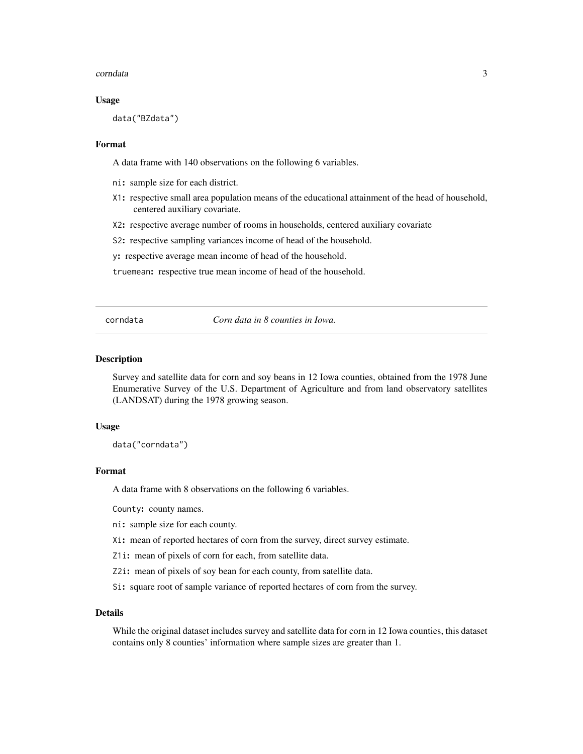#### <span id="page-2-0"></span>corndata 3

#### Usage

data("BZdata")

#### Format

A data frame with 140 observations on the following 6 variables.

- ni: sample size for each district.
- X1: respective small area population means of the educational attainment of the head of household, centered auxiliary covariate.
- X2: respective average number of rooms in households, centered auxiliary covariate
- S2: respective sampling variances income of head of the household.
- y: respective average mean income of head of the household.

truemean: respective true mean income of head of the household.

corndata *Corn data in 8 counties in Iowa.*

#### Description

Survey and satellite data for corn and soy beans in 12 Iowa counties, obtained from the 1978 June Enumerative Survey of the U.S. Department of Agriculture and from land observatory satellites (LANDSAT) during the 1978 growing season.

#### Usage

data("corndata")

#### Format

A data frame with 8 observations on the following 6 variables.

County: county names.

ni: sample size for each county.

Xi: mean of reported hectares of corn from the survey, direct survey estimate.

Z1i: mean of pixels of corn for each, from satellite data.

Z2i: mean of pixels of soy bean for each county, from satellite data.

Si: square root of sample variance of reported hectares of corn from the survey.

#### Details

While the original dataset includes survey and satellite data for corn in 12 Iowa counties, this dataset contains only 8 counties' information where sample sizes are greater than 1.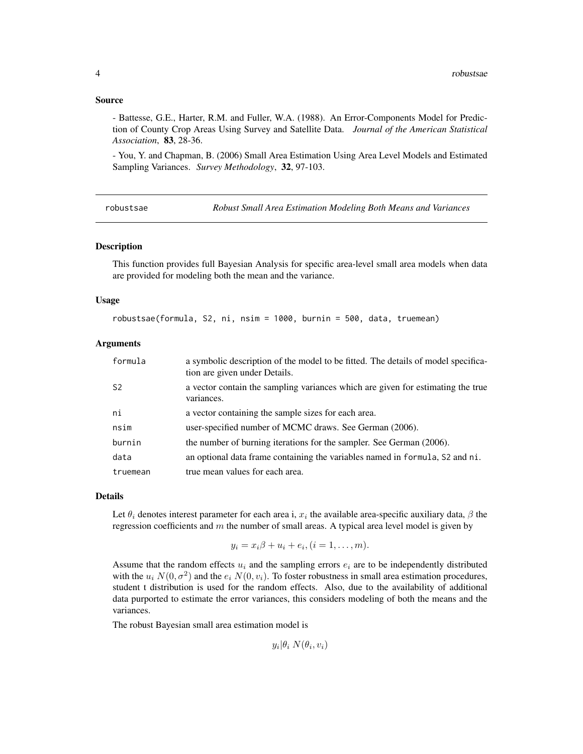#### <span id="page-3-0"></span>Source

- Battesse, G.E., Harter, R.M. and Fuller, W.A. (1988). An Error-Components Model for Prediction of County Crop Areas Using Survey and Satellite Data. *Journal of the American Statistical Association*, 83, 28-36.

- You, Y. and Chapman, B. (2006) Small Area Estimation Using Area Level Models and Estimated Sampling Variances. *Survey Methodology*, 32, 97-103.

robustsae *Robust Small Area Estimation Modeling Both Means and Variances*

#### Description

This function provides full Bayesian Analysis for specific area-level small area models when data are provided for modeling both the mean and the variance.

#### Usage

robustsae(formula, S2, ni, nsim = 1000, burnin = 500, data, truemean)

#### Arguments

| formula        | a symbolic description of the model to be fitted. The details of model specifica-<br>tion are given under Details. |
|----------------|--------------------------------------------------------------------------------------------------------------------|
| S <sub>2</sub> | a vector contain the sampling variances which are given for estimating the true<br>variances.                      |
| ni             | a vector containing the sample sizes for each area.                                                                |
| nsim           | user-specified number of MCMC draws. See German (2006).                                                            |
| burnin         | the number of burning iterations for the sampler. See German (2006).                                               |
| data           | an optional data frame containing the variables named in formula, S2 and ni.                                       |
| truemean       | true mean values for each area.                                                                                    |

#### Details

Let  $\theta_i$  denotes interest parameter for each area i,  $x_i$  the available area-specific auxiliary data,  $\beta$  the regression coefficients and  $m$  the number of small areas. A typical area level model is given by

$$
y_i = x_i \beta + u_i + e_i, (i = 1, \ldots, m).
$$

Assume that the random effects  $u_i$  and the sampling errors  $e_i$  are to be independently distributed with the  $u_i N(0, \sigma^2)$  and the  $e_i N(0, v_i)$ . To foster robustness in small area estimation procedures, student t distribution is used for the random effects. Also, due to the availability of additional data purported to estimate the error variances, this considers modeling of both the means and the variances.

The robust Bayesian small area estimation model is

 $y_i | \theta_i N(\theta_i, v_i)$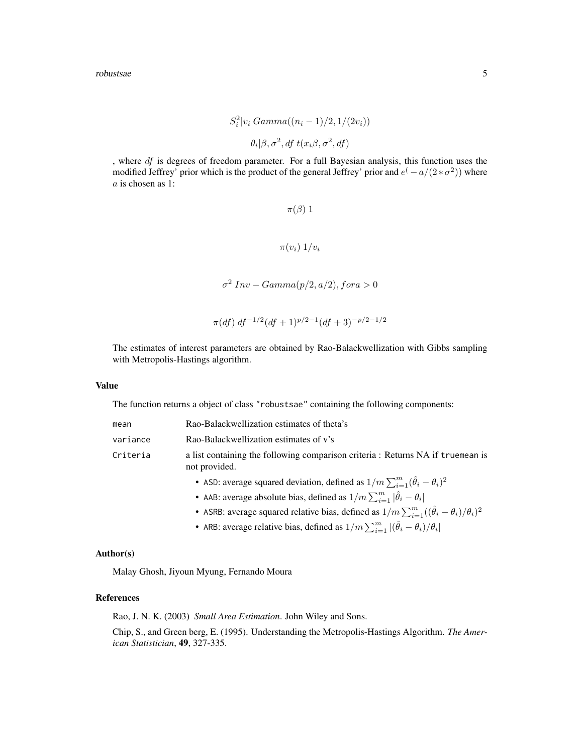$$
S_i^2 | v_i \text{ Gamma}((n_i - 1)/2, 1/(2v_i))
$$

$$
\theta_i | \beta, \sigma^2, \text{df } t(x_i \beta, \sigma^2, \text{df})
$$

, where df is degrees of freedom parameter. For a full Bayesian analysis, this function uses the modified Jeffrey' prior which is the product of the general Jeffrey' prior and  $e^{(-a/(2+\sigma^2))}$  where a is chosen as 1:

$$
\pi(\beta) 1
$$

$$
\pi(v_i) 1/v_i
$$

 $\sigma^2$  Inv – Gamma $(p/2, a/2)$ , fora > 0

$$
\pi(df) df^{-1/2} (df + 1)^{p/2 - 1} (df + 3)^{-p/2 - 1/2}
$$

The estimates of interest parameters are obtained by Rao-Balackwellization with Gibbs sampling with Metropolis-Hastings algorithm.

#### Value

The function returns a object of class "robustsae" containing the following components:

| mean     | Rao-Balackwellization estimates of theta's                                                       |  |
|----------|--------------------------------------------------------------------------------------------------|--|
| variance | Rao-Balackwellization estimates of v's                                                           |  |
| Criteria | a list containing the following comparison criteria : Returns NA if truemean is<br>not provided. |  |
|          | • ASD: average squared deviation, defined as $1/m \sum_{i=1}^{m} (\hat{\theta}_i - \theta_i)^2$  |  |
|          | • AAB: average absolute bias, defined as $1/m \sum_{i=1}^{m}  \hat{\theta}_i - \theta_i $        |  |

- ASRB: average squared relative bias, defined as  $1/m \sum_{i=1}^{m} ((\hat{\theta}_i \theta_i)/\theta_i)^2$
- ARB: average relative bias, defined as  $1/m \sum_{i=1}^{m} |(\hat{\theta}_i \theta_i)/\theta_i|$

#### Author(s)

Malay Ghosh, Jiyoun Myung, Fernando Moura

#### References

Rao, J. N. K. (2003) *Small Area Estimation*. John Wiley and Sons.

Chip, S., and Green berg, E. (1995). Understanding the Metropolis-Hastings Algorithm. *The American Statistician*, 49, 327-335.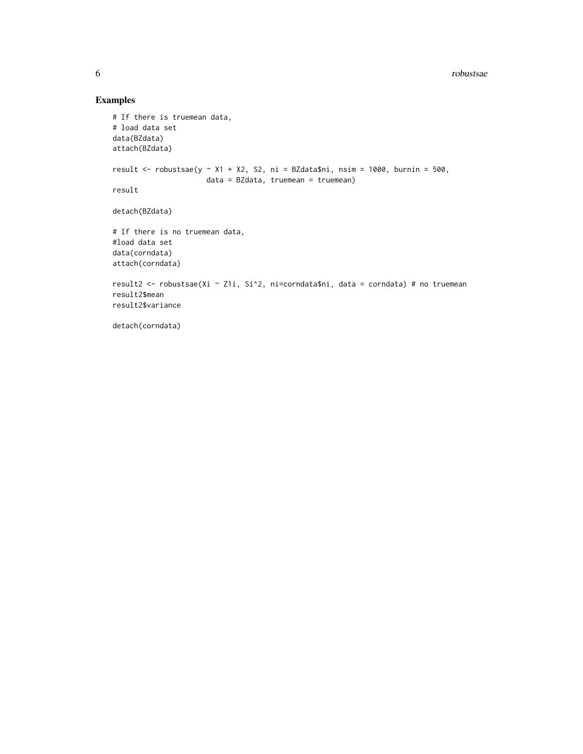### Examples

```
# If there is truemean data,
# load data set
data(BZdata)
attach(BZdata)
result <- robustsae(y ~ X1 + X2, S2, ni = BZdata$ni, nsim = 1000, burnin = 500,
                     data = BZdata, truemean = truemean)
result
detach(BZdata)
# If there is no truemean data,
#load data set
data(corndata)
attach(corndata)
result2 <- robustsae(Xi ~ Z1i, Si^2, ni=corndata$ni, data = corndata) # no truemean
result2$mean
result2$variance
detach(corndata)
```